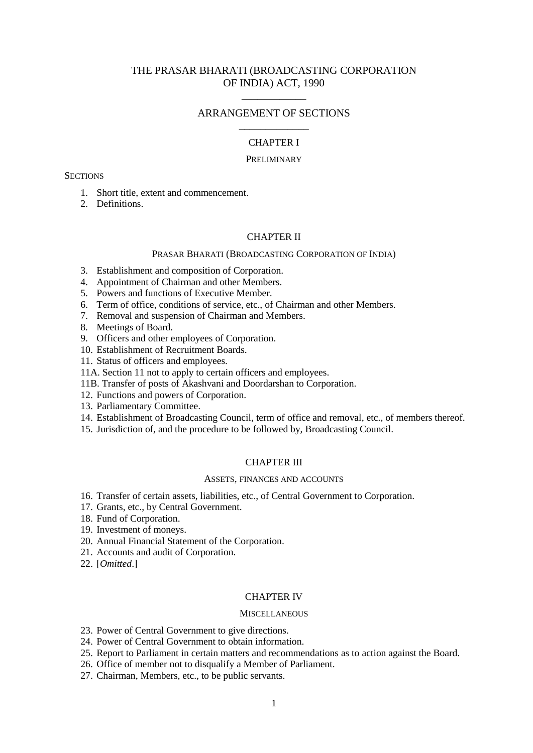# THE PRASAR BHARATI (BROADCASTING CORPORATION OF INDIA) ACT, 1990

# ARRANGEMENT OF SECTIONS \_\_\_\_\_\_\_\_\_\_\_\_\_

\_\_\_\_\_\_\_\_\_\_\_\_

# CHAPTER I

### PRELIMINARY

#### **SECTIONS**

- 1. Short title, extent and commencement.
- 2. Definitions.

#### CHAPTER II

#### PRASAR BHARATI (BROADCASTING CORPORATION OF INDIA)

- 3. Establishment and composition of Corporation.
- 4. Appointment of Chairman and other Members.
- 5. Powers and functions of Executive Member.
- 6. Term of office, conditions of service, etc., of Chairman and other Members.
- 7. Removal and suspension of Chairman and Members.
- 8. Meetings of Board.
- 9. Officers and other employees of Corporation.
- 10. Establishment of Recruitment Boards.
- 11. Status of officers and employees.
- 11A. Section 11 not to apply to certain officers and employees.
- 11B. Transfer of posts of Akashvani and Doordarshan to Corporation.
- 12. Functions and powers of Corporation.
- 13. Parliamentary Committee.
- 14. Establishment of Broadcasting Council, term of office and removal, etc., of members thereof.
- 15. Jurisdiction of, and the procedure to be followed by, Broadcasting Council.

### CHAPTER III

#### ASSETS, FINANCES AND ACCOUNTS

- 16. Transfer of certain assets, liabilities, etc., of Central Government to Corporation.
- 17. Grants, etc., by Central Government.
- 18. Fund of Corporation.
- 19. Investment of moneys.
- 20. Annual Financial Statement of the Corporation.
- 21. Accounts and audit of Corporation.
- 22. [*Omitted*.]

#### CHAPTER IV

#### **MISCELLANEOUS**

- 23. Power of Central Government to give directions.
- 24. Power of Central Government to obtain information.
- 25. Report to Parliament in certain matters and recommendations as to action against the Board.
- 26. Office of member not to disqualify a Member of Parliament.
- 27. Chairman, Members, etc., to be public servants.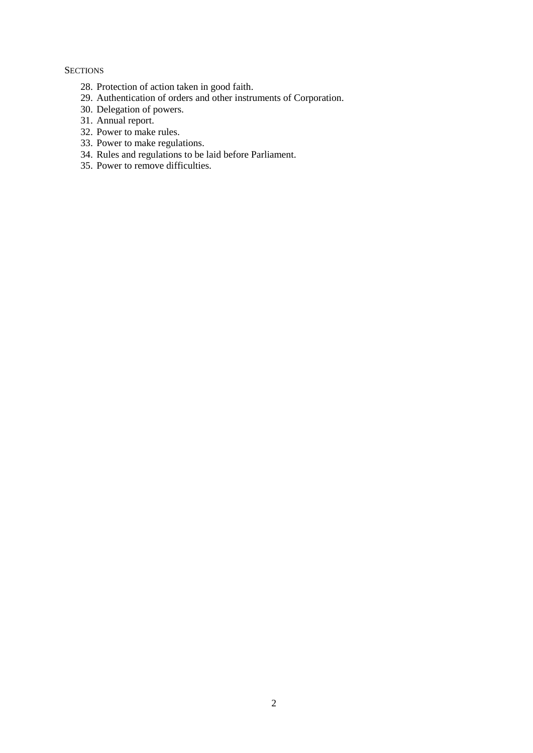## **SECTIONS**

- 28. Protection of action taken in good faith.
- 29. Authentication of orders and other instruments of Corporation.
- 30. Delegation of powers.
- 31. Annual report.
- 32. Power to make rules.
- 33. Power to make regulations.
- 34. Rules and regulations to be laid before Parliament.
- 35. Power to remove difficulties.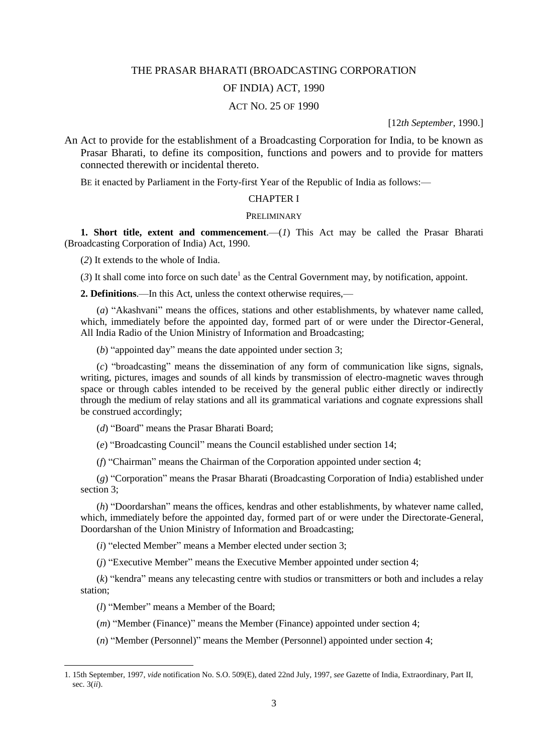#### THE PRASAR BHARATI (BROADCASTING CORPORATION

## OF INDIA) ACT, 1990

### ACT NO. 25 OF 1990

[12*th September*, 1990.]

An Act to provide for the establishment of a Broadcasting Corporation for India, to be known as Prasar Bharati, to define its composition, functions and powers and to provide for matters connected therewith or incidental thereto.

BE it enacted by Parliament in the Forty-first Year of the Republic of India as follows:—

#### CHAPTER I

#### **PRELIMINARY**

**1. Short title, extent and commencement.** (*1*) This Act may be called the Prasar Bharati (Broadcasting Corporation of India) Act, 1990.

(*2*) It extends to the whole of India.

 $(3)$  It shall come into force on such date<sup>1</sup> as the Central Government may, by notification, appoint.

**2. Definitions**.—In this Act, unless the context otherwise requires,—

(*a*) "Akashvani" means the offices, stations and other establishments, by whatever name called, which, immediately before the appointed day, formed part of or were under the Director-General, All India Radio of the Union Ministry of Information and Broadcasting;

(*b*) "appointed day" means the date appointed under section 3;

(*c*) "broadcasting" means the dissemination of any form of communication like signs, signals, writing, pictures, images and sounds of all kinds by transmission of electro-magnetic waves through space or through cables intended to be received by the general public either directly or indirectly through the medium of relay stations and all its grammatical variations and cognate expressions shall be construed accordingly;

(*d*) "Board" means the Prasar Bharati Board;

(*e*) "Broadcasting Council" means the Council established under section 14;

(*f*) "Chairman" means the Chairman of the Corporation appointed under section 4;

(*g*) "Corporation" means the Prasar Bharati (Broadcasting Corporation of India) established under section 3;

(*h*) "Doordarshan" means the offices, kendras and other establishments, by whatever name called, which, immediately before the appointed day, formed part of or were under the Directorate-General, Doordarshan of the Union Ministry of Information and Broadcasting;

(*i*) "elected Member" means a Member elected under section 3;

(*j*) "Executive Member" means the Executive Member appointed under section 4;

(*k*) "kendra" means any telecasting centre with studios or transmitters or both and includes a relay station;

(*l*) "Member" means a Member of the Board;

1

(*m*) "Member (Finance)" means the Member (Finance) appointed under section 4;

(*n*) "Member (Personnel)" means the Member (Personnel) appointed under section 4;

<sup>1. 15</sup>th September, 1997, *vide* notification No. S.O. 509(E), dated 22nd July, 1997, *see* Gazette of India, Extraordinary, Part II, sec. 3(*ii*).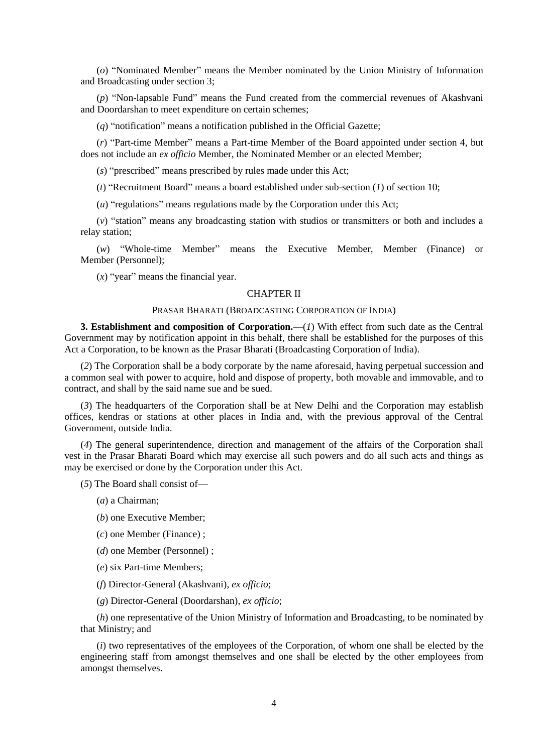(*o*) "Nominated Member" means the Member nominated by the Union Ministry of Information and Broadcasting under section 3;

(*p*) "Non-lapsable Fund" means the Fund created from the commercial revenues of Akashvani and Doordarshan to meet expenditure on certain schemes;

(*q*) "notification" means a notification published in the Official Gazette;

(*r*) "Part-time Member" means a Part-time Member of the Board appointed under section 4, but does not include an *ex officio* Member, the Nominated Member or an elected Member;

(*s*) "prescribed" means prescribed by rules made under this Act;

(*t*) "Recruitment Board" means a board established under sub-section (*1*) of section 10;

(*u*) "regulations" means regulations made by the Corporation under this Act;

(*v*) "station" means any broadcasting station with studios or transmitters or both and includes a relay station;

(*w*) "Whole-time Member" means the Executive Member, Member (Finance) or Member (Personnel);

(*x*) "year" means the financial year.

#### CHAPTER II

#### PRASAR BHARATI (BROADCASTING CORPORATION OF INDIA)

**3. Establishment and composition of Corporation.**—(*1*) With effect from such date as the Central Government may by notification appoint in this behalf, there shall be established for the purposes of this Act a Corporation, to be known as the Prasar Bharati (Broadcasting Corporation of India).

(*2*) The Corporation shall be a body corporate by the name aforesaid, having perpetual succession and a common seal with power to acquire, hold and dispose of property, both movable and immovable, and to contract, and shall by the said name sue and be sued.

(*3*) The headquarters of the Corporation shall be at New Delhi and the Corporation may establish offices, kendras or stations at other places in India and, with the previous approval of the Central Government, outside India.

(*4*) The general superintendence, direction and management of the affairs of the Corporation shall vest in the Prasar Bharati Board which may exercise all such powers and do all such acts and things as may be exercised or done by the Corporation under this Act.

(*5*) The Board shall consist of—

(*a*) a Chairman;

(*b*) one Executive Member;

(*c*) one Member (Finance) ;

(*d*) one Member (Personnel) ;

(*e*) six Part-time Members;

(*f*) Director-General (Akashvani), *ex officio*;

(*g*) Director-General (Doordarshan), *ex officio*;

(*h*) one representative of the Union Ministry of Information and Broadcasting, to be nominated by that Ministry; and

(*i*) two representatives of the employees of the Corporation, of whom one shall be elected by the engineering staff from amongst themselves and one shall be elected by the other employees from amongst themselves.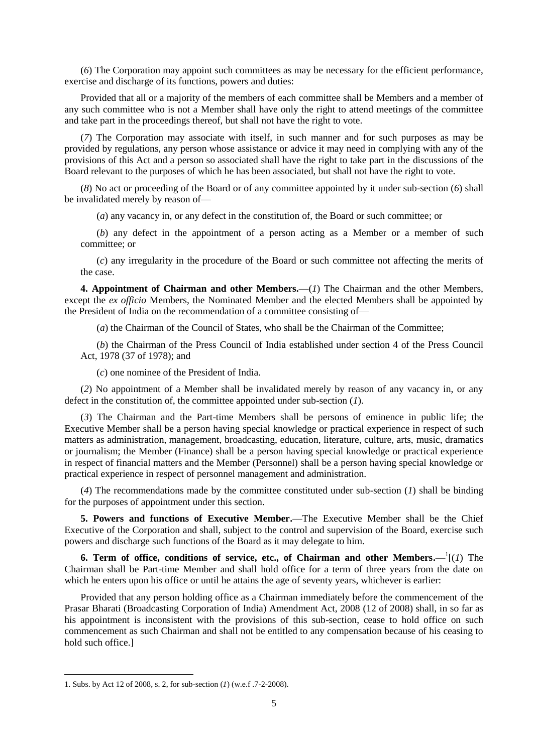(*6*) The Corporation may appoint such committees as may be necessary for the efficient performance, exercise and discharge of its functions, powers and duties:

Provided that all or a majority of the members of each committee shall be Members and a member of any such committee who is not a Member shall have only the right to attend meetings of the committee and take part in the proceedings thereof, but shall not have the right to vote.

(*7*) The Corporation may associate with itself, in such manner and for such purposes as may be provided by regulations, any person whose assistance or advice it may need in complying with any of the provisions of this Act and a person so associated shall have the right to take part in the discussions of the Board relevant to the purposes of which he has been associated, but shall not have the right to vote.

(*8*) No act or proceeding of the Board or of any committee appointed by it under sub-section (*6*) shall be invalidated merely by reason of—

(*a*) any vacancy in, or any defect in the constitution of, the Board or such committee; or

(*b*) any defect in the appointment of a person acting as a Member or a member of such committee; or

(*c*) any irregularity in the procedure of the Board or such committee not affecting the merits of the case.

**4. Appointment of Chairman and other Members.**—(*1*) The Chairman and the other Members, except the *ex officio* Members, the Nominated Member and the elected Members shall be appointed by the President of India on the recommendation of a committee consisting of—

(*a*) the Chairman of the Council of States, who shall be the Chairman of the Committee;

(*b*) the Chairman of the Press Council of India established under section 4 of the Press Council Act, 1978 (37 of 1978); and

(*c*) one nominee of the President of India.

(*2*) No appointment of a Member shall be invalidated merely by reason of any vacancy in, or any defect in the constitution of, the committee appointed under sub-section (*1*).

(*3*) The Chairman and the Part-time Members shall be persons of eminence in public life; the Executive Member shall be a person having special knowledge or practical experience in respect of such matters as administration, management, broadcasting, education, literature, culture, arts, music, dramatics or journalism; the Member (Finance) shall be a person having special knowledge or practical experience in respect of financial matters and the Member (Personnel) shall be a person having special knowledge or practical experience in respect of personnel management and administration.

(*4*) The recommendations made by the committee constituted under sub-section (*1*) shall be binding for the purposes of appointment under this section.

**5. Powers and functions of Executive Member.**—The Executive Member shall be the Chief Executive of the Corporation and shall, subject to the control and supervision of the Board, exercise such powers and discharge such functions of the Board as it may delegate to him.

**6. Term of office, conditions of service, etc., of Chairman and other Members.**— $\frac{1}{1}(1)$  The Chairman shall be Part-time Member and shall hold office for a term of three years from the date on which he enters upon his office or until he attains the age of seventy years, whichever is earlier:

Provided that any person holding office as a Chairman immediately before the commencement of the Prasar Bharati (Broadcasting Corporation of India) Amendment Act, 2008 (12 of 2008) shall, in so far as his appointment is inconsistent with the provisions of this sub-section, cease to hold office on such commencement as such Chairman and shall not be entitled to any compensation because of his ceasing to hold such office.]

**.** 

<sup>1.</sup> Subs. by Act 12 of 2008, s. 2, for sub-section (*1*) (w.e.f .7-2-2008).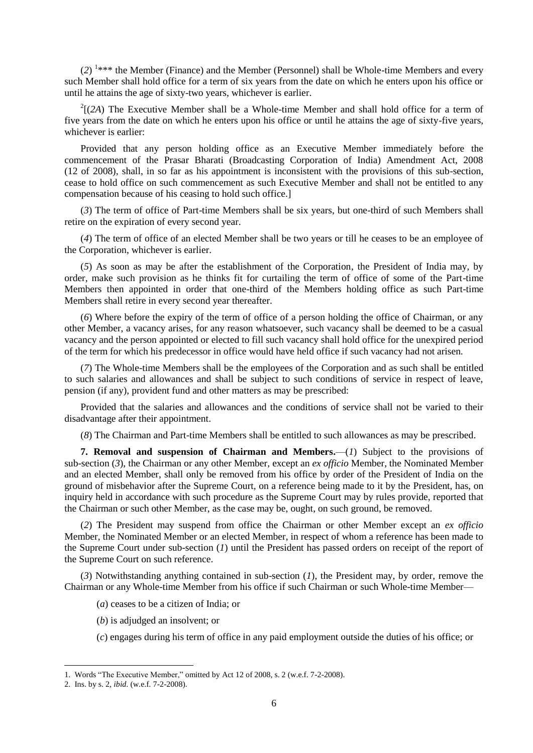$(2)$ <sup>1\*\*\*</sup> the Member (Finance) and the Member (Personnel) shall be Whole-time Members and every such Member shall hold office for a term of six years from the date on which he enters upon his office or until he attains the age of sixty-two years, whichever is earlier.

 $2^2$ [(2A) The Executive Member shall be a Whole-time Member and shall hold office for a term of five years from the date on which he enters upon his office or until he attains the age of sixty-five years, whichever is earlier:

Provided that any person holding office as an Executive Member immediately before the commencement of the Prasar Bharati (Broadcasting Corporation of India) Amendment Act, 2008 (12 of 2008), shall, in so far as his appointment is inconsistent with the provisions of this sub-section, cease to hold office on such commencement as such Executive Member and shall not be entitled to any compensation because of his ceasing to hold such office.]

(*3*) The term of office of Part-time Members shall be six years, but one-third of such Members shall retire on the expiration of every second year.

(*4*) The term of office of an elected Member shall be two years or till he ceases to be an employee of the Corporation, whichever is earlier.

(*5*) As soon as may be after the establishment of the Corporation, the President of India may, by order, make such provision as he thinks fit for curtailing the term of office of some of the Part-time Members then appointed in order that one-third of the Members holding office as such Part-time Members shall retire in every second year thereafter.

(*6*) Where before the expiry of the term of office of a person holding the office of Chairman, or any other Member, a vacancy arises, for any reason whatsoever, such vacancy shall be deemed to be a casual vacancy and the person appointed or elected to fill such vacancy shall hold office for the unexpired period of the term for which his predecessor in office would have held office if such vacancy had not arisen.

(*7*) The Whole-time Members shall be the employees of the Corporation and as such shall be entitled to such salaries and allowances and shall be subject to such conditions of service in respect of leave, pension (if any), provident fund and other matters as may be prescribed:

Provided that the salaries and allowances and the conditions of service shall not be varied to their disadvantage after their appointment.

(*8*) The Chairman and Part-time Members shall be entitled to such allowances as may be prescribed.

**7. Removal and suspension of Chairman and Members.**—(*1*) Subject to the provisions of sub-section (*3*), the Chairman or any other Member, except an *ex officio* Member, the Nominated Member and an elected Member, shall only be removed from his office by order of the President of India on the ground of misbehavior after the Supreme Court, on a reference being made to it by the President, has, on inquiry held in accordance with such procedure as the Supreme Court may by rules provide, reported that the Chairman or such other Member, as the case may be, ought, on such ground, be removed.

(*2*) The President may suspend from office the Chairman or other Member except an *ex officio* Member, the Nominated Member or an elected Member, in respect of whom a reference has been made to the Supreme Court under sub-section (*1*) until the President has passed orders on receipt of the report of the Supreme Court on such reference.

(*3*) Notwithstanding anything contained in sub-section (*1*), the President may, by order, remove the Chairman or any Whole-time Member from his office if such Chairman or such Whole-time Member—

- (*a*) ceases to be a citizen of India; or
- (*b*) is adjudged an insolvent; or
- (*c*) engages during his term of office in any paid employment outside the duties of his office; or

1

<sup>1.</sup> Words "The Executive Member," omitted by Act 12 of 2008, s. 2 (w.e.f. 7-2-2008).

<sup>2.</sup> Ins. by s. 2, *ibid*. (w.e.f. 7-2-2008).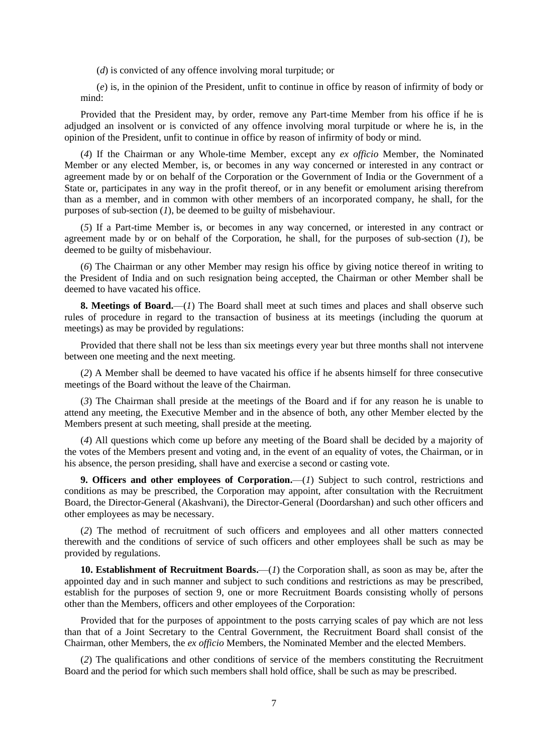(*d*) is convicted of any offence involving moral turpitude; or

(*e*) is, in the opinion of the President, unfit to continue in office by reason of infirmity of body or mind:

Provided that the President may, by order, remove any Part-time Member from his office if he is adjudged an insolvent or is convicted of any offence involving moral turpitude or where he is, in the opinion of the President, unfit to continue in office by reason of infirmity of body or mind.

(*4*) If the Chairman or any Whole-time Member, except any *ex officio* Member, the Nominated Member or any elected Member, is, or becomes in any way concerned or interested in any contract or agreement made by or on behalf of the Corporation or the Government of India or the Government of a State or, participates in any way in the profit thereof, or in any benefit or emolument arising therefrom than as a member, and in common with other members of an incorporated company, he shall, for the purposes of sub-section (*1*), be deemed to be guilty of misbehaviour.

(*5*) If a Part-time Member is, or becomes in any way concerned, or interested in any contract or agreement made by or on behalf of the Corporation, he shall, for the purposes of sub-section (*1*), be deemed to be guilty of misbehaviour.

(*6*) The Chairman or any other Member may resign his office by giving notice thereof in writing to the President of India and on such resignation being accepted, the Chairman or other Member shall be deemed to have vacated his office.

**8. Meetings of Board.**—(*1*) The Board shall meet at such times and places and shall observe such rules of procedure in regard to the transaction of business at its meetings (including the quorum at meetings) as may be provided by regulations:

Provided that there shall not be less than six meetings every year but three months shall not intervene between one meeting and the next meeting.

(*2*) A Member shall be deemed to have vacated his office if he absents himself for three consecutive meetings of the Board without the leave of the Chairman.

(*3*) The Chairman shall preside at the meetings of the Board and if for any reason he is unable to attend any meeting, the Executive Member and in the absence of both, any other Member elected by the Members present at such meeting, shall preside at the meeting.

(*4*) All questions which come up before any meeting of the Board shall be decided by a majority of the votes of the Members present and voting and, in the event of an equality of votes, the Chairman, or in his absence, the person presiding, shall have and exercise a second or casting vote.

**9. Officers and other employees of Corporation.—(1)** Subject to such control, restrictions and conditions as may be prescribed, the Corporation may appoint, after consultation with the Recruitment Board, the Director-General (Akashvani), the Director-General (Doordarshan) and such other officers and other employees as may be necessary.

(*2*) The method of recruitment of such officers and employees and all other matters connected therewith and the conditions of service of such officers and other employees shall be such as may be provided by regulations.

**10. Establishment of Recruitment Boards.**—(*1*) the Corporation shall, as soon as may be, after the appointed day and in such manner and subject to such conditions and restrictions as may be prescribed, establish for the purposes of section 9, one or more Recruitment Boards consisting wholly of persons other than the Members, officers and other employees of the Corporation:

Provided that for the purposes of appointment to the posts carrying scales of pay which are not less than that of a Joint Secretary to the Central Government, the Recruitment Board shall consist of the Chairman, other Members, the *ex officio* Members, the Nominated Member and the elected Members.

(*2*) The qualifications and other conditions of service of the members constituting the Recruitment Board and the period for which such members shall hold office, shall be such as may be prescribed.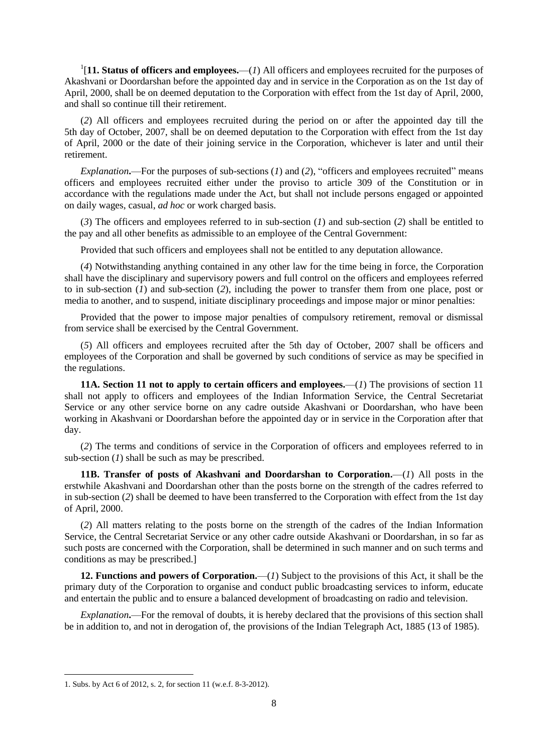<sup>1</sup>[11. Status of officers and employees.— $(1)$  All officers and employees recruited for the purposes of Akashvani or Doordarshan before the appointed day and in service in the Corporation as on the 1st day of April, 2000, shall be on deemed deputation to the Corporation with effect from the 1st day of April, 2000, and shall so continue till their retirement.

(*2*) All officers and employees recruited during the period on or after the appointed day till the 5th day of October, 2007, shall be on deemed deputation to the Corporation with effect from the 1st day of April, 2000 or the date of their joining service in the Corporation, whichever is later and until their retirement.

*Explanation***.**—For the purposes of sub-sections (*1*) and (*2*), "officers and employees recruited" means officers and employees recruited either under the proviso to article 309 of the Constitution or in accordance with the regulations made under the Act, but shall not include persons engaged or appointed on daily wages, casual, *ad hoc* or work charged basis.

(*3*) The officers and employees referred to in sub-section (*1*) and sub-section (*2*) shall be entitled to the pay and all other benefits as admissible to an employee of the Central Government:

Provided that such officers and employees shall not be entitled to any deputation allowance.

(*4*) Notwithstanding anything contained in any other law for the time being in force, the Corporation shall have the disciplinary and supervisory powers and full control on the officers and employees referred to in sub-section (*1*) and sub-section (*2*), including the power to transfer them from one place, post or media to another, and to suspend, initiate disciplinary proceedings and impose major or minor penalties:

Provided that the power to impose major penalties of compulsory retirement, removal or dismissal from service shall be exercised by the Central Government.

(*5*) All officers and employees recruited after the 5th day of October, 2007 shall be officers and employees of the Corporation and shall be governed by such conditions of service as may be specified in the regulations.

**11A. Section 11 not to apply to certain officers and employees.**—(*1*) The provisions of section 11 shall not apply to officers and employees of the Indian Information Service, the Central Secretariat Service or any other service borne on any cadre outside Akashvani or Doordarshan, who have been working in Akashvani or Doordarshan before the appointed day or in service in the Corporation after that day.

(*2*) The terms and conditions of service in the Corporation of officers and employees referred to in sub-section (*1*) shall be such as may be prescribed.

**11B. Transfer of posts of Akashvani and Doordarshan to Corporation.**—(*1*) All posts in the erstwhile Akashvani and Doordarshan other than the posts borne on the strength of the cadres referred to in sub-section (*2*) shall be deemed to have been transferred to the Corporation with effect from the 1st day of April, 2000.

(*2*) All matters relating to the posts borne on the strength of the cadres of the Indian Information Service, the Central Secretariat Service or any other cadre outside Akashvani or Doordarshan, in so far as such posts are concerned with the Corporation, shall be determined in such manner and on such terms and conditions as may be prescribed.]

**12. Functions and powers of Corporation.**—(*1*) Subject to the provisions of this Act, it shall be the primary duty of the Corporation to organise and conduct public broadcasting services to inform, educate and entertain the public and to ensure a balanced development of broadcasting on radio and television.

*Explanation***.**—For the removal of doubts, it is hereby declared that the provisions of this section shall be in addition to, and not in derogation of, the provisions of the Indian Telegraph Act, 1885 (13 of 1985).

**.** 

<sup>1.</sup> Subs. by Act 6 of 2012, s. 2, for section 11 (w.e.f. 8-3-2012).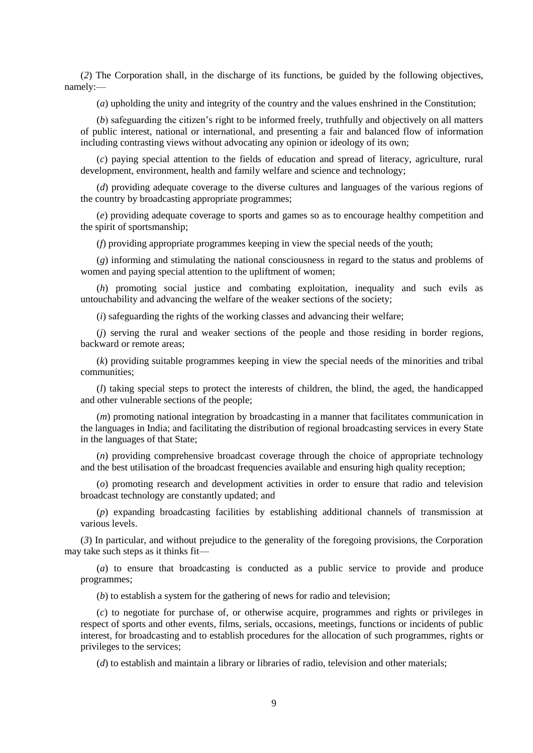(*2*) The Corporation shall, in the discharge of its functions, be guided by the following objectives, namely:—

(*a*) upholding the unity and integrity of the country and the values enshrined in the Constitution;

(*b*) safeguarding the citizen's right to be informed freely, truthfully and objectively on all matters of public interest, national or international, and presenting a fair and balanced flow of information including contrasting views without advocating any opinion or ideology of its own;

(*c*) paying special attention to the fields of education and spread of literacy, agriculture, rural development, environment, health and family welfare and science and technology;

(*d*) providing adequate coverage to the diverse cultures and languages of the various regions of the country by broadcasting appropriate programmes;

(*e*) providing adequate coverage to sports and games so as to encourage healthy competition and the spirit of sportsmanship;

(*f*) providing appropriate programmes keeping in view the special needs of the youth;

(*g*) informing and stimulating the national consciousness in regard to the status and problems of women and paying special attention to the upliftment of women;

(*h*) promoting social justice and combating exploitation, inequality and such evils as untouchability and advancing the welfare of the weaker sections of the society;

(*i*) safeguarding the rights of the working classes and advancing their welfare;

(*j*) serving the rural and weaker sections of the people and those residing in border regions, backward or remote areas;

(*k*) providing suitable programmes keeping in view the special needs of the minorities and tribal communities;

(*l*) taking special steps to protect the interests of children, the blind, the aged, the handicapped and other vulnerable sections of the people;

(*m*) promoting national integration by broadcasting in a manner that facilitates communication in the languages in India; and facilitating the distribution of regional broadcasting services in every State in the languages of that State;

(*n*) providing comprehensive broadcast coverage through the choice of appropriate technology and the best utilisation of the broadcast frequencies available and ensuring high quality reception;

(*o*) promoting research and development activities in order to ensure that radio and television broadcast technology are constantly updated; and

(*p*) expanding broadcasting facilities by establishing additional channels of transmission at various levels.

(*3*) In particular, and without prejudice to the generality of the foregoing provisions, the Corporation may take such steps as it thinks fit—

(*a*) to ensure that broadcasting is conducted as a public service to provide and produce programmes;

(*b*) to establish a system for the gathering of news for radio and television;

(*c*) to negotiate for purchase of, or otherwise acquire, programmes and rights or privileges in respect of sports and other events, films, serials, occasions, meetings, functions or incidents of public interest, for broadcasting and to establish procedures for the allocation of such programmes, rights or privileges to the services;

(*d*) to establish and maintain a library or libraries of radio, television and other materials;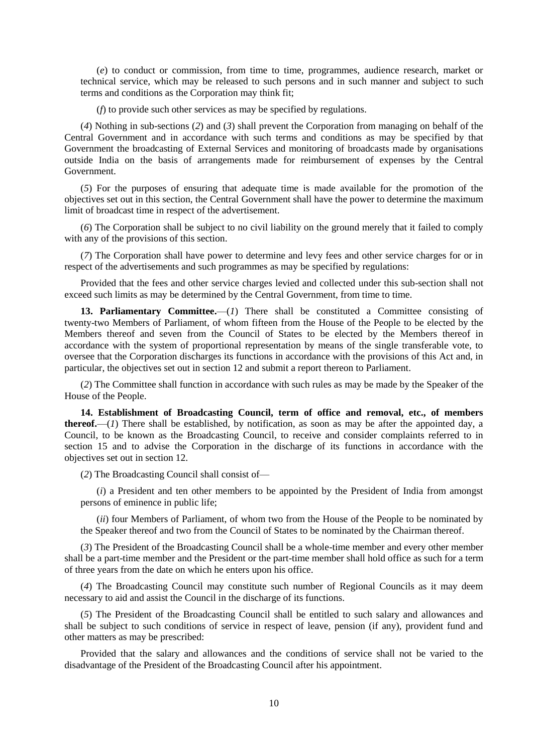(*e*) to conduct or commission, from time to time, programmes, audience research, market or technical service, which may be released to such persons and in such manner and subject to such terms and conditions as the Corporation may think fit;

(*f*) to provide such other services as may be specified by regulations.

(*4*) Nothing in sub-sections (*2*) and (*3*) shall prevent the Corporation from managing on behalf of the Central Government and in accordance with such terms and conditions as may be specified by that Government the broadcasting of External Services and monitoring of broadcasts made by organisations outside India on the basis of arrangements made for reimbursement of expenses by the Central Government.

(*5*) For the purposes of ensuring that adequate time is made available for the promotion of the objectives set out in this section, the Central Government shall have the power to determine the maximum limit of broadcast time in respect of the advertisement.

(*6*) The Corporation shall be subject to no civil liability on the ground merely that it failed to comply with any of the provisions of this section.

(*7*) The Corporation shall have power to determine and levy fees and other service charges for or in respect of the advertisements and such programmes as may be specified by regulations:

Provided that the fees and other service charges levied and collected under this sub-section shall not exceed such limits as may be determined by the Central Government, from time to time.

13. Parliamentary Committee.—(1) There shall be constituted a Committee consisting of twenty-two Members of Parliament, of whom fifteen from the House of the People to be elected by the Members thereof and seven from the Council of States to be elected by the Members thereof in accordance with the system of proportional representation by means of the single transferable vote, to oversee that the Corporation discharges its functions in accordance with the provisions of this Act and, in particular, the objectives set out in section 12 and submit a report thereon to Parliament.

(*2*) The Committee shall function in accordance with such rules as may be made by the Speaker of the House of the People.

**14. Establishment of Broadcasting Council, term of office and removal, etc., of members thereof.**—(*1*) There shall be established, by notification, as soon as may be after the appointed day, a Council, to be known as the Broadcasting Council, to receive and consider complaints referred to in section 15 and to advise the Corporation in the discharge of its functions in accordance with the objectives set out in section 12.

(*2*) The Broadcasting Council shall consist of—

(*i*) a President and ten other members to be appointed by the President of India from amongst persons of eminence in public life;

(*ii*) four Members of Parliament, of whom two from the House of the People to be nominated by the Speaker thereof and two from the Council of States to be nominated by the Chairman thereof.

(*3*) The President of the Broadcasting Council shall be a whole-time member and every other member shall be a part-time member and the President or the part-time member shall hold office as such for a term of three years from the date on which he enters upon his office.

(*4*) The Broadcasting Council may constitute such number of Regional Councils as it may deem necessary to aid and assist the Council in the discharge of its functions.

(*5*) The President of the Broadcasting Council shall be entitled to such salary and allowances and shall be subject to such conditions of service in respect of leave, pension (if any), provident fund and other matters as may be prescribed:

Provided that the salary and allowances and the conditions of service shall not be varied to the disadvantage of the President of the Broadcasting Council after his appointment.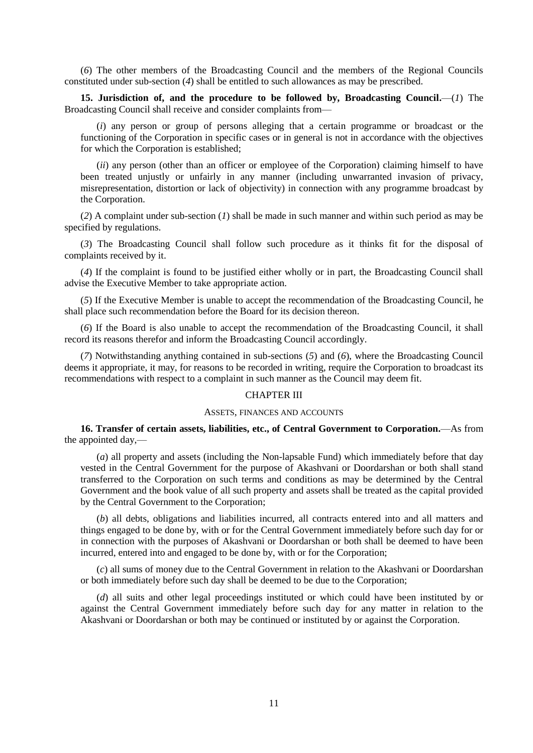(*6*) The other members of the Broadcasting Council and the members of the Regional Councils constituted under sub-section (*4*) shall be entitled to such allowances as may be prescribed.

**15. Jurisdiction of, and the procedure to be followed by, Broadcasting Council.**—(*1*) The Broadcasting Council shall receive and consider complaints from—

(*i*) any person or group of persons alleging that a certain programme or broadcast or the functioning of the Corporation in specific cases or in general is not in accordance with the objectives for which the Corporation is established;

(*ii*) any person (other than an officer or employee of the Corporation) claiming himself to have been treated unjustly or unfairly in any manner (including unwarranted invasion of privacy, misrepresentation, distortion or lack of objectivity) in connection with any programme broadcast by the Corporation.

(*2*) A complaint under sub-section (*1*) shall be made in such manner and within such period as may be specified by regulations.

(*3*) The Broadcasting Council shall follow such procedure as it thinks fit for the disposal of complaints received by it.

(*4*) If the complaint is found to be justified either wholly or in part, the Broadcasting Council shall advise the Executive Member to take appropriate action.

(*5*) If the Executive Member is unable to accept the recommendation of the Broadcasting Council, he shall place such recommendation before the Board for its decision thereon.

(*6*) If the Board is also unable to accept the recommendation of the Broadcasting Council, it shall record its reasons therefor and inform the Broadcasting Council accordingly.

(*7*) Notwithstanding anything contained in sub-sections (*5*) and (*6*), where the Broadcasting Council deems it appropriate, it may, for reasons to be recorded in writing, require the Corporation to broadcast its recommendations with respect to a complaint in such manner as the Council may deem fit.

## CHAPTER III

### ASSETS, FINANCES AND ACCOUNTS

**16. Transfer of certain assets, liabilities, etc., of Central Government to Corporation.**—As from the appointed day,—

(*a*) all property and assets (including the Non-lapsable Fund) which immediately before that day vested in the Central Government for the purpose of Akashvani or Doordarshan or both shall stand transferred to the Corporation on such terms and conditions as may be determined by the Central Government and the book value of all such property and assets shall be treated as the capital provided by the Central Government to the Corporation;

(*b*) all debts, obligations and liabilities incurred, all contracts entered into and all matters and things engaged to be done by, with or for the Central Government immediately before such day for or in connection with the purposes of Akashvani or Doordarshan or both shall be deemed to have been incurred, entered into and engaged to be done by, with or for the Corporation;

(*c*) all sums of money due to the Central Government in relation to the Akashvani or Doordarshan or both immediately before such day shall be deemed to be due to the Corporation;

(*d*) all suits and other legal proceedings instituted or which could have been instituted by or against the Central Government immediately before such day for any matter in relation to the Akashvani or Doordarshan or both may be continued or instituted by or against the Corporation.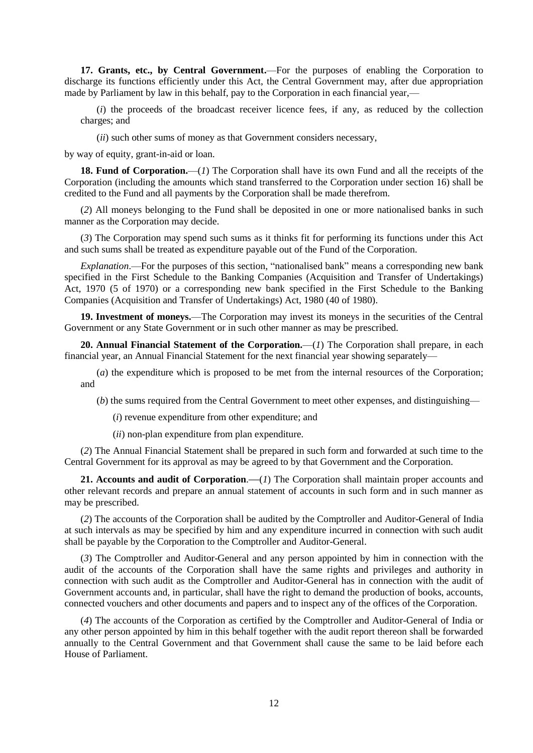**17. Grants, etc., by Central Government.**—For the purposes of enabling the Corporation to discharge its functions efficiently under this Act, the Central Government may, after due appropriation made by Parliament by law in this behalf, pay to the Corporation in each financial year,—

(*i*) the proceeds of the broadcast receiver licence fees, if any, as reduced by the collection charges; and

(*ii*) such other sums of money as that Government considers necessary,

by way of equity, grant-in-aid or loan.

**18. Fund of Corporation.**—(*1*) The Corporation shall have its own Fund and all the receipts of the Corporation (including the amounts which stand transferred to the Corporation under section 16) shall be credited to the Fund and all payments by the Corporation shall be made therefrom.

(*2*) All moneys belonging to the Fund shall be deposited in one or more nationalised banks in such manner as the Corporation may decide.

(*3*) The Corporation may spend such sums as it thinks fit for performing its functions under this Act and such sums shall be treated as expenditure payable out of the Fund of the Corporation.

*Explanation*.—For the purposes of this section, "nationalised bank" means a corresponding new bank specified in the First Schedule to the Banking Companies (Acquisition and Transfer of Undertakings) Act, 1970 (5 of 1970) or a corresponding new bank specified in the First Schedule to the Banking Companies (Acquisition and Transfer of Undertakings) Act, 1980 (40 of 1980).

**19. Investment of moneys.**—The Corporation may invest its moneys in the securities of the Central Government or any State Government or in such other manner as may be prescribed.

**20. Annual Financial Statement of the Corporation.**—(*1*) The Corporation shall prepare, in each financial year, an Annual Financial Statement for the next financial year showing separately—

(*a*) the expenditure which is proposed to be met from the internal resources of the Corporation; and

(*b*) the sums required from the Central Government to meet other expenses, and distinguishing—

(*i*) revenue expenditure from other expenditure; and

(*ii*) non-plan expenditure from plan expenditure.

(*2*) The Annual Financial Statement shall be prepared in such form and forwarded at such time to the Central Government for its approval as may be agreed to by that Government and the Corporation.

**21. Accounts and audit of Corporation.—(1)** The Corporation shall maintain proper accounts and other relevant records and prepare an annual statement of accounts in such form and in such manner as may be prescribed.

(*2*) The accounts of the Corporation shall be audited by the Comptroller and Auditor-General of India at such intervals as may be specified by him and any expenditure incurred in connection with such audit shall be payable by the Corporation to the Comptroller and Auditor-General.

(*3*) The Comptroller and Auditor-General and any person appointed by him in connection with the audit of the accounts of the Corporation shall have the same rights and privileges and authority in connection with such audit as the Comptroller and Auditor-General has in connection with the audit of Government accounts and, in particular, shall have the right to demand the production of books, accounts, connected vouchers and other documents and papers and to inspect any of the offices of the Corporation.

(*4*) The accounts of the Corporation as certified by the Comptroller and Auditor-General of India or any other person appointed by him in this behalf together with the audit report thereon shall be forwarded annually to the Central Government and that Government shall cause the same to be laid before each House of Parliament.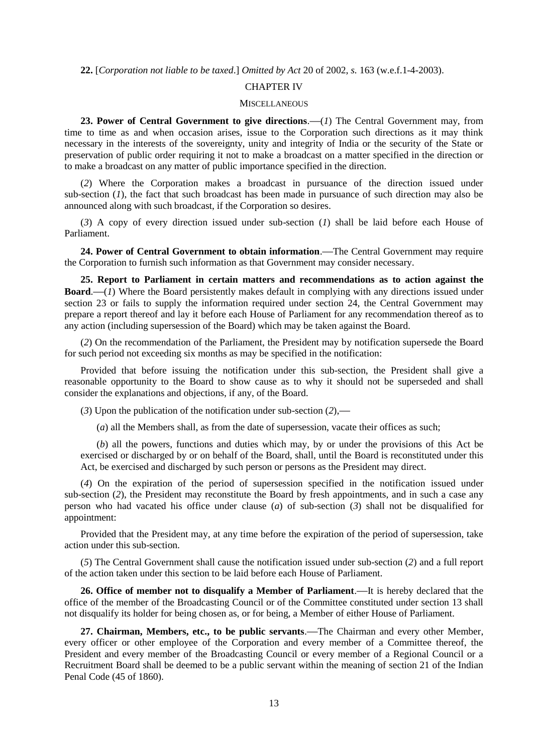**22.** [*Corporation not liable to be taxed*.] *Omitted by Act* 20 of 2002, *s.* 163 (w.e.f.1-4-2003).

### CHAPTER IV

#### **MISCELLANEOUS**

**23. Power of Central Government to give directions**.**—**(*1*) The Central Government may, from time to time as and when occasion arises, issue to the Corporation such directions as it may think necessary in the interests of the sovereignty, unity and integrity of India or the security of the State or preservation of public order requiring it not to make a broadcast on a matter specified in the direction or to make a broadcast on any matter of public importance specified in the direction.

(*2*) Where the Corporation makes a broadcast in pursuance of the direction issued under sub-section (*1*), the fact that such broadcast has been made in pursuance of such direction may also be announced along with such broadcast, if the Corporation so desires.

(*3*) A copy of every direction issued under sub-section (*1*) shall be laid before each House of Parliament.

**24. Power of Central Government to obtain information**.**—**The Central Government may require the Corporation to furnish such information as that Government may consider necessary.

**25. Report to Parliament in certain matters and recommendations as to action against the Board**.**—**(*1*) Where the Board persistently makes default in complying with any directions issued under section 23 or fails to supply the information required under section 24, the Central Government may prepare a report thereof and lay it before each House of Parliament for any recommendation thereof as to any action (including supersession of the Board) which may be taken against the Board.

(*2*) On the recommendation of the Parliament, the President may by notification supersede the Board for such period not exceeding six months as may be specified in the notification:

Provided that before issuing the notification under this sub-section, the President shall give a reasonable opportunity to the Board to show cause as to why it should not be superseded and shall consider the explanations and objections, if any, of the Board.

(*3*) Upon the publication of the notification under sub-section (*2*),**—**

(*a*) all the Members shall, as from the date of supersession, vacate their offices as such;

(*b*) all the powers, functions and duties which may, by or under the provisions of this Act be exercised or discharged by or on behalf of the Board, shall, until the Board is reconstituted under this Act, be exercised and discharged by such person or persons as the President may direct.

(*4*) On the expiration of the period of supersession specified in the notification issued under sub-section (2), the President may reconstitute the Board by fresh appointments, and in such a case any person who had vacated his office under clause (*a*) of sub-section (*3*) shall not be disqualified for appointment:

Provided that the President may, at any time before the expiration of the period of supersession, take action under this sub-section.

(*5*) The Central Government shall cause the notification issued under sub-section (*2*) and a full report of the action taken under this section to be laid before each House of Parliament.

**26. Office of member not to disqualify a Member of Parliament**.**—**It is hereby declared that the office of the member of the Broadcasting Council or of the Committee constituted under section 13 shall not disqualify its holder for being chosen as, or for being, a Member of either House of Parliament.

**27. Chairman, Members, etc., to be public servants**.**—**The Chairman and every other Member, every officer or other employee of the Corporation and every member of a Committee thereof, the President and every member of the Broadcasting Council or every member of a Regional Council or a Recruitment Board shall be deemed to be a public servant within the meaning of section 21 of the Indian Penal Code (45 of 1860).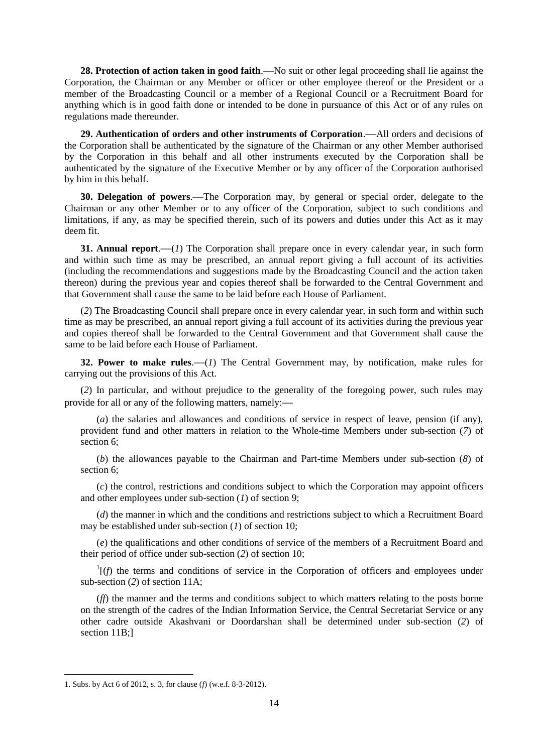**28. Protection of action taken in good faith**.**—**No suit or other legal proceeding shall lie against the Corporation, the Chairman or any Member or officer or other employee thereof or the President or a member of the Broadcasting Council or a member of a Regional Council or a Recruitment Board for anything which is in good faith done or intended to be done in pursuance of this Act or of any rules on regulations made thereunder.

**29. Authentication of orders and other instruments of Corporation**.**—**All orders and decisions of the Corporation shall be authenticated by the signature of the Chairman or any other Member authorised by the Corporation in this behalf and all other instruments executed by the Corporation shall be authenticated by the signature of the Executive Member or by any officer of the Corporation authorised by him in this behalf.

**30. Delegation of powers**.**—**The Corporation may, by general or special order, delegate to the Chairman or any other Member or to any officer of the Corporation, subject to such conditions and limitations, if any, as may be specified therein, such of its powers and duties under this Act as it may deem fit.

**31. Annual report.**—(*1*) The Corporation shall prepare once in every calendar year, in such form and within such time as may be prescribed, an annual report giving a full account of its activities (including the recommendations and suggestions made by the Broadcasting Council and the action taken thereon) during the previous year and copies thereof shall be forwarded to the Central Government and that Government shall cause the same to be laid before each House of Parliament.

(*2*) The Broadcasting Council shall prepare once in every calendar year, in such form and within such time as may be prescribed, an annual report giving a full account of its activities during the previous year and copies thereof shall be forwarded to the Central Government and that Government shall cause the same to be laid before each House of Parliament.

**32. Power to make rules**.**—**(*1*) The Central Government may, by notification, make rules for carrying out the provisions of this Act.

(*2*) In particular, and without prejudice to the generality of the foregoing power, such rules may provide for all or any of the following matters, namely:**—**

(*a*) the salaries and allowances and conditions of service in respect of leave, pension (if any), provident fund and other matters in relation to the Whole-time Members under sub-section (*7*) of section 6;

(*b*) the allowances payable to the Chairman and Part-time Members under sub-section (*8*) of section 6;

(*c*) the control, restrictions and conditions subject to which the Corporation may appoint officers and other employees under sub-section (*1*) of section 9;

(*d*) the manner in which and the conditions and restrictions subject to which a Recruitment Board may be established under sub-section (*1*) of section 10;

(*e*) the qualifications and other conditions of service of the members of a Recruitment Board and their period of office under sub-section (*2*) of section 10;

 $\Gamma$ [(*f*) the terms and conditions of service in the Corporation of officers and employees under sub-section (*2*) of section 11A;

(*ff*) the manner and the terms and conditions subject to which matters relating to the posts borne on the strength of the cadres of the Indian Information Service, the Central Secretariat Service or any other cadre outside Akashvani or Doordarshan shall be determined under sub-section (*2*) of section 11B:1

**.** 

<sup>1.</sup> Subs. by Act 6 of 2012, s. 3, for clause (*f*) (w.e.f. 8-3-2012).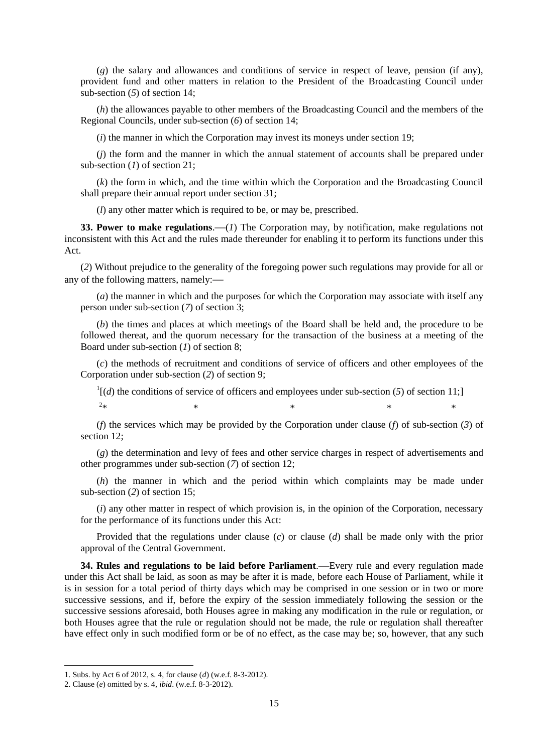(*g*) the salary and allowances and conditions of service in respect of leave, pension (if any), provident fund and other matters in relation to the President of the Broadcasting Council under sub-section (*5*) of section 14;

(*h*) the allowances payable to other members of the Broadcasting Council and the members of the Regional Councils, under sub-section (*6*) of section 14;

(*i*) the manner in which the Corporation may invest its moneys under section 19;

(*j*) the form and the manner in which the annual statement of accounts shall be prepared under sub-section (*1*) of section 21;

(*k*) the form in which, and the time within which the Corporation and the Broadcasting Council shall prepare their annual report under section 31;

(*l*) any other matter which is required to be, or may be, prescribed.

**33. Power to make regulations**.**—**(*1*) The Corporation may, by notification, make regulations not inconsistent with this Act and the rules made thereunder for enabling it to perform its functions under this Act.

(*2*) Without prejudice to the generality of the foregoing power such regulations may provide for all or any of the following matters, namely:**—**

(*a*) the manner in which and the purposes for which the Corporation may associate with itself any person under sub-section (*7*) of section 3;

(*b*) the times and places at which meetings of the Board shall be held and, the procedure to be followed thereat, and the quorum necessary for the transaction of the business at a meeting of the Board under sub-section (*1*) of section 8;

(*c*) the methods of recruitment and conditions of service of officers and other employees of the Corporation under sub-section (*2*) of section 9;

 $\frac{1}{d}$  (*d*) the conditions of service of officers and employees under sub-section (5) of section 11;]  $2*$  $*$  \*  $*$  \*  $*$  \*  $*$ 

(*f*) the services which may be provided by the Corporation under clause (*f*) of sub-section (*3*) of section 12;

(*g*) the determination and levy of fees and other service charges in respect of advertisements and other programmes under sub-section (*7*) of section 12;

(*h*) the manner in which and the period within which complaints may be made under sub-section (*2*) of section 15;

(*i*) any other matter in respect of which provision is, in the opinion of the Corporation, necessary for the performance of its functions under this Act:

Provided that the regulations under clause (*c*) or clause (*d*) shall be made only with the prior approval of the Central Government.

**34. Rules and regulations to be laid before Parliament**.**—**Every rule and every regulation made under this Act shall be laid, as soon as may be after it is made, before each House of Parliament, while it is in session for a total period of thirty days which may be comprised in one session or in two or more successive sessions, and if, before the expiry of the session immediately following the session or the successive sessions aforesaid, both Houses agree in making any modification in the rule or regulation, or both Houses agree that the rule or regulation should not be made, the rule or regulation shall thereafter have effect only in such modified form or be of no effect, as the case may be; so, however, that any such

1

<sup>1.</sup> Subs. by Act 6 of 2012, s. 4, for clause (*d*) (w.e.f. 8-3-2012).

<sup>2.</sup> Clause (*e*) omitted by s. 4, *ibid*. (w.e.f. 8-3-2012).